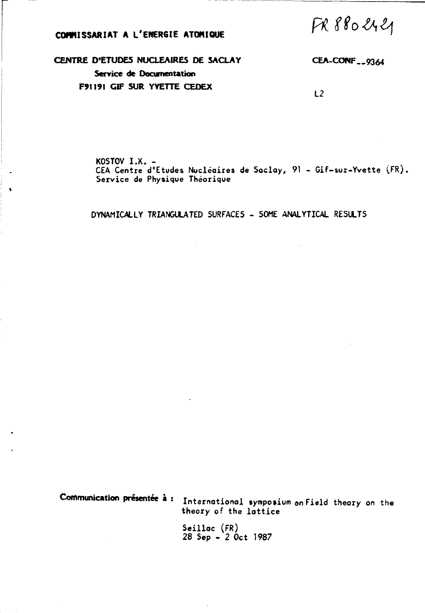# COMMISSARIAT A L'ENERGIE ATOMIQUE

FR 880 2421

CENTRE D'ETUDES NUCLEAIRES DE SACLAY Service de Documentation F91191 GIF SUR YVETTE CEDEX

CEA-CONF<sub>--9364</sub>

 $L2$ 

KOSTOV I.X. -CEA Centre d'Etudes Nucléaires de Saclay, 91 - Gif-sur-Yvette (FR). Service de Physique Théorique

DYNAMICALLY TRIANGULATED SURFACES - SOME ANALYTICAL RESULTS

Communication présentée à : International symposium on Field theory on the theory of the lattice

> Seilloc (FR) 28 Sep - 2 Oct 1987

> > $\bar{\rm I}$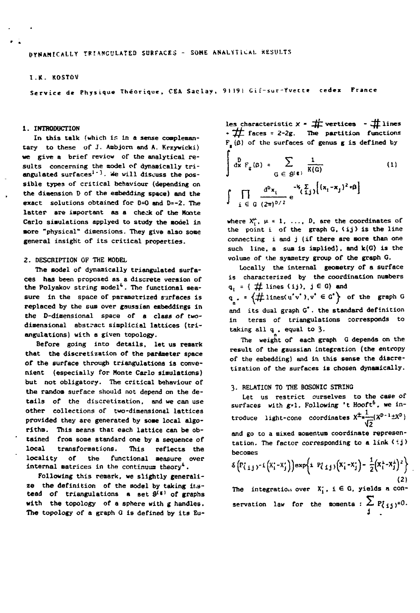# **I.K. ROSTOV**

**Service de Physique Théorique, CEA Saclay, 9119! Gif-sur-Yvecte cedex France** 

### **1. INTRODUCTION**

**In this talk (which Is in a sense complemantary to these** *of* **J. Ambjorn and A. Krzyvicki) we give a brief review of the analytical results concerning the model of dynamically triangulated surfaces<sup>1</sup>' 3- We will discuss the possible types of critical behaviour (depending on the dimension D of the embedding space) and the exact solutions obtained for D=0 and D=-2. The latter are important as a check of the Monte**  Carlo simulations applyed to study the model in **•ore "physical" dimensions. They give also sone general insight of its critical properties.** 

## **2. DESCRIPTION OF THE MODEL**

**The model of dynamically triangulated surfaces has been proposed as a discrete version of the Polyakov string model<sup>4</sup> . The functional measure in the space of parametrized surfaces is replaced by the sua over gaussian embeddings in the D-dimensional space of a class of twodimensional abstract simplicial lattices (triangulations) with a given topology.** 

**Before going into details, let us remark that the discretization of the parameter space of the surface through triangulations is convenient (especially for Monte Carlo simulations) but not obligatory. The critical behaviour of the random surface should not depend on the details of the discretization, and we can use other collections of two-dimensional lattices provided they are generated by some local algorithm. This means that each lattice can be obtained from some standard one by a sequence of local transformations. This reflects the locality of the functional measure over internal matrices in the continuum theory<sup>4</sup>.** 

**Following this remark, we slightly generalize the definition of the model by taking instead of triangulations a set S ( <sup>f</sup> ' of graphs with the topology of a sphere with g handles. The topology of a graph 0 is defined by its Eu-** les characteristic  $X = \frac{1}{2}$  vertices  $-\frac{1}{2}$  lines **•** *"ffl* **faces = 2-2g. The partition functions**   $F_{\mu}(\beta)$  of the surfaces of genus g is defined by  $\frac{D}{dx}F_g(\beta) = \sum_{G \in \mathcal{B}(\epsilon)} \frac{1}{K(G)}$ **(1)** 

$$
\int \prod_{i \in G} \frac{d^D x_i}{(2\pi)^{D/2}} e^{-\frac{1}{2}\sum_{i,j} \left[ (x_i - x_j)^2 \cdot \beta \right]}
$$

where  $X_i^{\mu}$ ,  $\mu = 1$ , ..., D, are the coordinates of the point i of the graph G.  $\{ij\}$  is the line **connecting i and j (if there are more than one such line, a sum is implied), and k(G) is the volume of the symmetry group of the graph G.** 

**Locally the internal geometry of a surface is characterized by the coordination numbers**   $q_i = \{ # lines (ij), j \in G \}$  and

 $q_{\bullet}$  =  $\{\text{# lines}(u'v'), v' \in G^*\}$  of the graph G **and its dual graph G\*. the standard definition in terms of triangulations corresponds to taking all q , equal to 3-**

The weight of each graph G depends on the result of the gaussian integration (the entropy of the embedding) and in this sense the discretization of the surfaces is chosen dynamically.

### **3. RELATION TO THE BOSONIC STRING**

Let us restrict ourselves to the case of surfaces with  $g \cdot 1$ . Following 't Hooft<sup>6</sup>, we in**surfaces with g\*l. Following 't Hooft<sup>6</sup> . we introduce light-cone coordinates X\*»—:(X<sup>D</sup> " <sup>1</sup> ±X<sup>D</sup> )**  and go to a mixed momentum coordinate represen-

**and go to a mixed momentum coordinate representation. The factor corresponding to a link (ij> becomes** 

$$
\delta\left(P_{i,j}^{\prime}y^{-1}(X_{i}^{\prime}-X_{j}^{\prime})\right)\exp\left\{i\left(P_{i,j}^{\prime}\right)\left(X_{i}^{\prime}-X_{j}^{\prime}\right)-\frac{1}{2}\left(X_{i}^{\prime}-X_{j}^{\prime}\right)^{2}\right\}
$$
\n(2)

The integration over  $X_i^*$ ,  $i \in G$ , yields a con**servation law for the momenta :**  $\sum_{i} P_{i,j}$  $=0$ **.**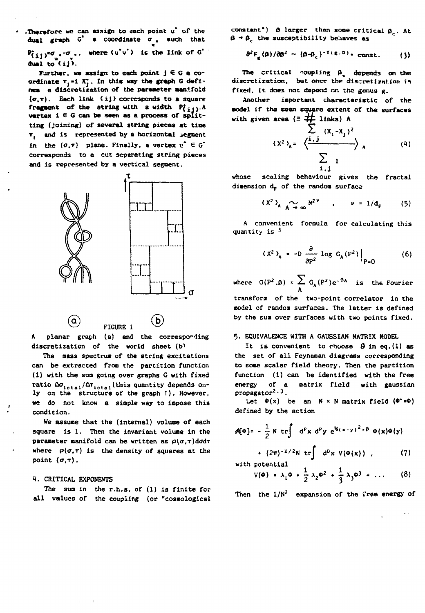' **.Therefore we** can **assign** to each point u\* **of** the **dual graph C\* a coordinate a . such** that  $P^*_{(i,j)}^* = \sigma_{ij}$ ., where  $(u^*v^*)$  is the link of G<sup>\*</sup> **dual to** < **i**j >.

**Farther, we assign to each point j G G a coordinate Tj»i X\*. In this way the graph C defines a dlscretiration of the parameter aanifold (O.T) . Each link < ij > corresponds to a square**  fragment of the string with a width  $P_{\{i\}}$ .A **vertex i € G can be seen as a process of splitting (joining) of several string pieces at tine <sup>T</sup> ( and is represented by a horizontal segment**  in the  $(\sigma,\tau)$  plane. Finally, a vertex  $u^* \in G^*$ **corresponds to a cut separating string pieces**  and is represented by a vertical segment.



**A planar graph (a) and the corresponding discretization of the world sheet (b^** 

FIGURE 1

**The mass spectrum of the string excitations can be extracted from the partition function (1) with the sum going over graphs G with fixed**  ratio  $\Delta \sigma_{\text{total}} / \Delta r_{\text{total}}$  (this quantity depends on**ly on the structure of the graph !) . However, we do not know a simple way to impose this condition.** 

**We assume that the (internal) volume of each square is 1. Then the invariant volume in the parameter manifold can be written as** *p{a,r)dadr*  where  $\rho(\sigma,\tau)$  is the density of squares at the point  $(\sigma,\tau)$ .

### *H.* **CRITICAL EXPONENTS**

**The sum in the r.h.s. of (1) is finite for all values of the coupling (or "cosmological**  constant")  $\beta$  larger than some critical  $\beta_c$ . At **(!-«£\_\_ the susceptibility behaves as** 

$$
\partial^2 F_g(\beta)/\partial \beta^2 \sim (\beta - \beta_c)^{-\gamma(g,D)} * const. \qquad (3)
$$

The critical coupling  $\beta_c$  depends on the discretization, but once the discretization in **fixed, it does not depend on the genus g.** 

**Another important characteristic of the model if the mean square extent or the surfaces**  with given area  $(\equiv \pm \pm 1)$  links) A

$$
(x2)A = \frac{\sum_{i=1}^{n} (x_i - x_j)^2}{\sum_{i=1}^{n} (x_i - x_j)^2}
$$
 (4)

whose scaling behaviour gives the fractal dimension d<sub>r</sub> of the random surface

$$
(X^2)_{A \atop A \to \infty} N^{2\nu} \quad , \qquad \nu = 1/d_F \qquad (5)
$$

A convenient formula for calculating this quantity is  $^3$ 

$$
(X2)A = -D \frac{\partial}{\partial P2} log GA(P2)|P=0
$$
 (6)

**where**  $G(P^2, \beta) = \sum_{\mathbf{A}} G_{\mathbf{A}}(P^2) e^{-\beta \mathbf{A}}$  is the Fourier **A transform of the two-point correlator in the model of random surfaces. The latter is defined by the sum over surfaces with two points fixed.** 

### **5. EQUIVALENCE WITH A GAUSSIAN MATRIX MODEL**

**It is convenient to choose** *&* **in eq.(l) as the set of all Feynaman diagrams corresponding to some scalar field theory. Then the partition function (1) can be identified with the free energy of a matrix field with gaussian propagator2 • 3.** 

Let  $\Phi(x)$  be an  $N \times N$  matrix field  $(\Phi^* = \Phi)$ **defined by the action** 

$$
\mathcal{A}[\Phi] = -\frac{1}{2} N \text{ tr} \int d^{p}x d^{p}y e^{i(x-y)^{2} + \beta} \Phi(x)\Phi(y)
$$
  
+  $(2\pi)^{-1/2} N \text{ tr} \int d^{p}x V(\Phi(x))$ , (7)

**with potential** 

$$
V(\phi) = \lambda_1 \phi + \frac{1}{2} \lambda_2 \phi^2 + \frac{1}{3} \lambda_3 \phi^3 + \ldots \qquad (8)
$$

**Then the 1/N2 expansion of the free energy of**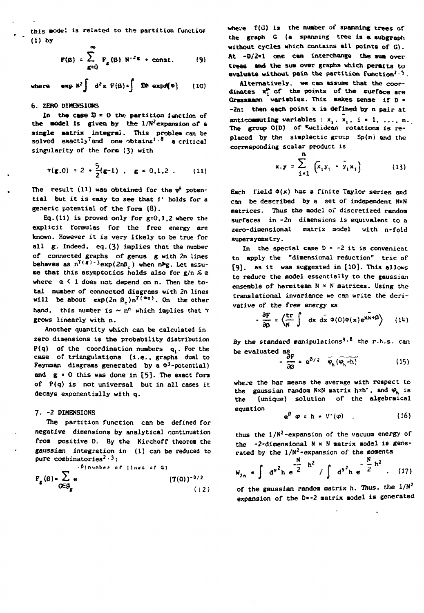**this «ode! is related to the partition function (1) by** 

$$
F(\beta) = \sum_{g=0}^{\infty} F_g(\beta) N^{-2g} + const. \qquad (9)
$$

where  $\exp N^2 \int d^2x F(\beta) = \int 3\phi \exp(\phi)$  (10)

### **6. ZERO DÏHEN5I0NS**

In the case  $D = 0$  the partition function of **the aodel is given by the l/N2expansion or a**  single matrix integral. This problem can be **solved exactly7and one obtains1• <sup>8</sup> a critical singularity of the form (3) with** 

$$
\Upsilon(\mathbf{g},0) = 2 + \frac{5}{2}(\mathbf{g-1})
$$
,  $\mathbf{g} = 0,1,2$ . (11)

The result  $(11)$  was obtained for the  $\varphi^k$  poten**tia l but i t is easy to see that i\* holds for a generic potential of the fora (8).** 

**Eq.(ll) is proved only for g=0,l,2 where the explicit formulas for the free energy are known. However it is very likely to be true for all g. Indeed, eg. (3) implies that the number of connected graphs of genus g with 2n lines**   $\mathbf{b}$  ehaves as  $\mathbf{n}^{\mathsf{T}}(\mathbf{s})$  -  $\mathsf{3}\text{exp}(2\mathbf{n}\mathbf{\beta}_{c})$  when  $\mathbf{n}$ **<sub>2</sub>**. Let assu**me that this asymptotics holds also for g/n** *& a*  **where a < 1 does not depend on n. Then the total number of connected diagrams with 2n lines**  will be about  $exp(2n \beta_c) n^{T(\alpha_0)}$ . On the other **hand, this number is ~ n<sup>n</sup> which implies that** *y*  **grows linearly with n.** 

**Another quantity which can be calculated in zero dimensions is the probability distribution P(q) of the coordination numbers q,. For the case of triangulations (i.e. . graphs dual to Feynman diagrams generated by a \*<sup>3</sup> -potential) and g » 0 this was done in [5]. The exact fora of P(q) is not universal but in all cases it decays exponentially with q.** 

### **7- -2 DIMENSIONS**

**The partition function can be defined for negative dimensions by analytical continuation from positive D. By the Kirchoff theorem the gaussian integration in (1) can be reduced to pure combinatories <sup>2</sup> • 3 :** 

$$
P_g(\beta) = \sum_{\sigma \in \mathcal{G}_g} e^{-\beta \{n \text{ under of lines of } G\}}
$$
(T(G))<sup>-D/2</sup> (12)

**where T(G) is the number of spanning trees of the graph C (a spanning tree is a subgraph without cycles which contains all points of G). At -0/2» 1 one can interchange the sua over trees and the sua over graphs which permits to**  avaluate without pain the partition function<sup>2.5</sup>.

**Alternatively, we can assuae that the coor**dinates  $x_i^{\mu}$  of the points of the surface are **Crassaann variables. This aakes sense if D » -2n: then each point x is defined by n pair at**  anticonsuiting variables :  $x_1$ ,  $x_1$ ,  $i = 1, ..., n$ . **The group 0(D) of Euclidean rotations is replaced by the simplectic group Sp(n) and the corresponding scalar product is** 

$$
x.y = \sum_{i=1}^{n} \left( \bar{x}_i y_i + \bar{y}_i x_i \right)
$$
 (13)

Each field  $\Phi(x)$  has a finite Taylor series and **can be described by a set of independent NxN aatrices. Thus the model of discretized random surfaces in -2n dimensions is equivalent to a zero-diaensional matrix model with n-fold supersynmetry.** 

**In the special case D = -2 it is convenient to apply the "dimensional reduction" trie of [9]. as it was suggested in [10]. This allows to reduce the aodel essentially to the gaussian ensemble of hermitean Nx N matrices. Using the translational invariance we can write the derivative of the free energy as** 

$$
-\frac{\partial F}{\partial \beta} = \left\langle \frac{\text{tr}}{N} \int dx \ dx \ \phi(0) \phi(x) e^{x x + \beta} \right\rangle \qquad (14)
$$

**By the standard manipulations'•8 the r.h.s. can be evaluated as** 

$$
-\frac{\partial F}{\partial \beta} = e^{\beta/2} \overline{\varphi_h(\varphi_h - h)}
$$
 (15)

**whe.'e the bar means the average with respect to the gaussian random NxN matrix h\*h\*, and <P<sup>h</sup> is the (unique) solution of the algebraical equation** 

$$
e^{\beta} \varphi = h + V'(\varphi) \qquad (16)
$$

**thus the 1/N<sup>2</sup> -expansion of the vacuum energy of the -2-dimensional Nx N matrix model is generated by the 1/N<sup>2</sup> -expansion of the momenta** 

$$
W_{2n} = \int d^{N^2}h e^{\frac{N}{2}h^2} / \int d^{N^2}h e^{-\frac{N}{2}h^2} . (17)
$$

of the gaussian random matrix h. Thus, the  $1/N^2$ **expansion of the D\*-2 matrix model is generated** 

$$
\mathbf{th}\mathbf{1}
$$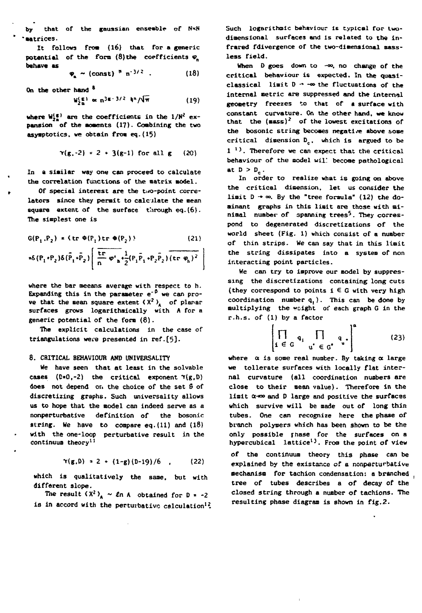**by that of the gaussian enseable of NxN 'Matrices.** 

**It follows froa (l6) that for a generic potential** of the form  $(8)$  the coefficients  $\varphi$ **behave as** 

$$
\varphi_{n} \sim (const)^{-n} n^{-3/2} \quad . \tag{18}
$$

**On the other hand \*** 

$$
W_{2n}^{(\epsilon)} \propto n^{3\epsilon - 3/2} \ln |\sqrt{\pi}|
$$
 (19)

where  $W_{2n}^{(g)}$  are the coefficients in the  $1/N^2$  ex**pansion of the aoaents (17)- Combining the two asymptotics. we obtain froa eq.(15)** 

$$
\gamma(g,-2) = 2 + 3(g-1)
$$
 for all g (20)

**In a siailar way one can proceed to calculate the correlation functions of the matrix model.** 

**Of special interest are the two-point correlators since they permit to calculate the mean**  square extent of the surface through eq.(6). **The simplest one is** 

$$
G(P_1, P_2) = \{ tr \Phi(P_1) tr \Phi(P_2) \}
$$
 (21)

$$
=6(P_1P_2)\delta(\bar{P}_1P_2)\left(\frac{\text{tr}}{n}\varphi_{a}+\frac{1}{2}(P_1\bar{P}_1P_2\bar{P}_2)(\text{tr }\varphi_{b})^2\right)
$$

**where the bar meeans average with respect to h. Expanding this in the parameter e<sup>-p</sup> we can prove that the mean square extent**  $(X^2)$ **<sub>A</sub>** of planar **surfaces grows logarithmically with A for a generic potential of the form (8).** 

**The explicit calculations in the case of triangulations were presented in ref.[5J-**

### **8. CRITICAL BEHAVIOUR AND UNIVERSALITY**

**We have seen that at least in the solvable**  cases  $(D=0,-2)$  the critical exponent  $\gamma(g,D)$ **does not depend or. the choice of the set S of discretizing graphs. Such universality allows us to hope that the model can indeed serve as a nonperturbative definition of the bosonic string. We have to compare eq.(ll) and (18) with the one-loop perturbative result in the continuum theory<sup>1</sup> <sup>1</sup>**

$$
\Upsilon(g, D) = 2 + (1-g)(D-19)/6
$$
 (22)

**which Is qualitatively the same, but with different slope.** 

The result  $(X^2)$ <sup>*A*</sup>  $\sim$  *Ln* A obtained for  $D = -2$ *LB* **in accord with the perturbative calculation1£**  **Such logarithmic behaviour Is typical for twodimensional surfaces and is related to the infrared fdivergence of the two-dimensional massless field.** 

When D goes down to -<sup>00</sup>, no change of the **critical behaviour is expected. In the quasi**classical limit  $D \rightarrow -\infty$  the fluctuations of the **internal metric are suppressed and the internal geometry freezes to that of a surface with constant curvature. On the other hand, we know that the (mass)2 of the lowest excitations of**  the bosonic string becomes negative above some **critical dimension D<sup>c</sup> , which is argued to be 1 <sup>13</sup> . Therefore we can expect that the critical**  behaviour of the model will become pathological at  $D > D_c$ .

**In order to realize what is going on above the critical dimension, let us consider the limit D -\* oo. By the "tree formula" (12) the dominant graphs in this limit are those with minimal number of spanning trees^. They correspond to degenerated discretizations of the world sheet (Fig. 1) which consist of a number of thin strips. We can say that in this limit the string dissipates into a system of non interacting point particles.** 

**We can try to improve our model by suppressing the discretizations containing long cuts**  (they correspond to points  $i \in G$  with very high **coordination number q, ). This can be done by multiplying the «sight of each graph G in the r.h.s. of (1) by a factor** 

$$
\left[\prod_{i \in G} q_i \prod_{u' \in G'} q_u\right]^{\alpha} \qquad (23)
$$

where  $\alpha$  is some real number. By taking  $\alpha$  large **we tollerate surfaces with locally flat internal curvature (all coordination numbers are close to their mean value). Therefore in the**  limit  $\alpha$ - $\infty$  and D large and positive the surfaces **which survive will be made out of long thin tubes. One can recognize here the phase of branch polymers which has been shown to be the only possible fftase for the surfaces on a hypercubical lattice13. From the point of view of the continuum theory this phase can be explained by the existance of a nonperturbative aechaniso for tachion condensation: a branched tree of tubes describes a of decay of the closed string through a number of tachions. The resulting phase diagram is shown in fig.2.**